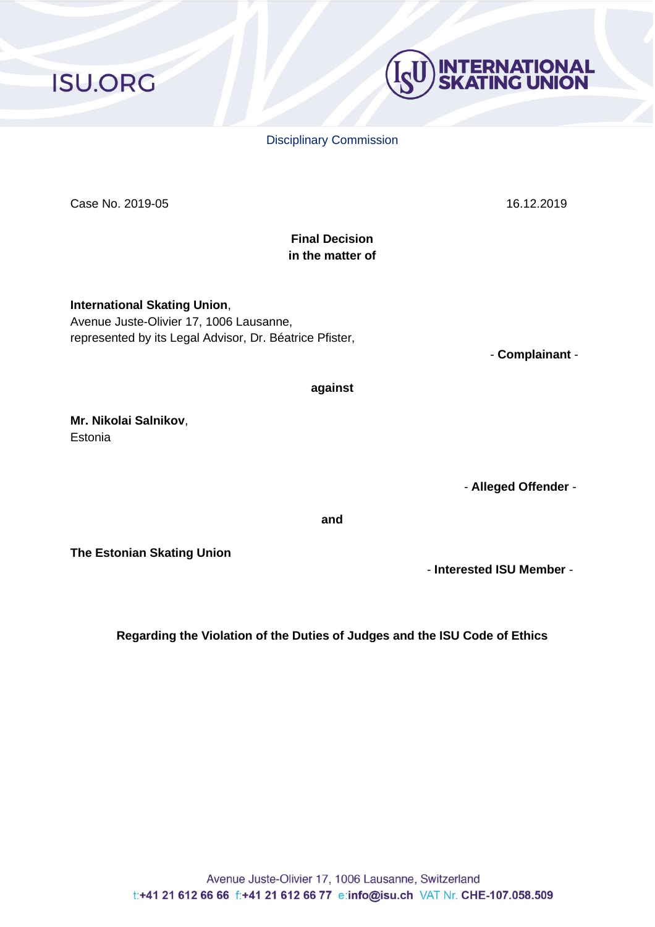Case No. 2019-05 16.12.2019

# **Final Decision in the matter of**

**against**

**International Skating Union**, Avenue Juste-Olivier 17, 1006 Lausanne, represented by its Legal Advisor, Dr. Béatrice Pfister,

**Mr. Nikolai Salnikov**, **Estonia** 

**The Estonian Skating Union**

**Regarding the Violation of the Duties of Judges and the ISU Code of Ethics**

**and**

Disciplinary Commission

- **Complainant** -

- **Alleged Offender** -

- **Interested ISU Member** -

# **ISU.ORG**

**INTERNATIONAL<br>SKATING UNION**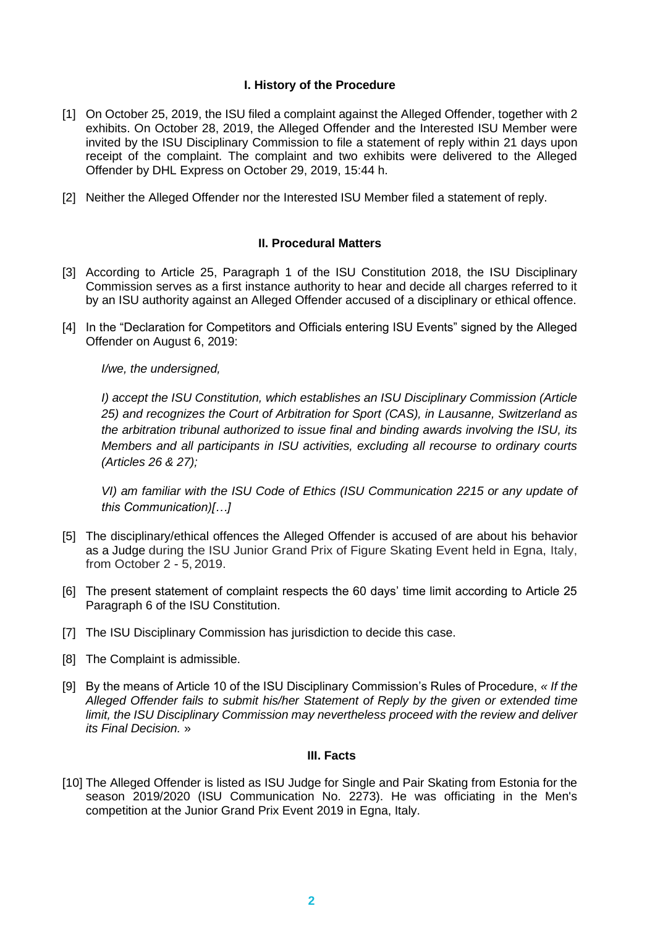# **I. History of the Procedure**

- [1] On October 25, 2019, the ISU filed a complaint against the Alleged Offender, together with 2 exhibits. On October 28, 2019, the Alleged Offender and the Interested ISU Member were invited by the ISU Disciplinary Commission to file a statement of reply within 21 days upon receipt of the complaint. The complaint and two exhibits were delivered to the Alleged Offender by DHL Express on October 29, 2019, 15:44 h.
- [2] Neither the Alleged Offender nor the Interested ISU Member filed a statement of reply.

## **II. Procedural Matters**

- [3] According to Article 25, Paragraph 1 of the ISU Constitution 2018, the ISU Disciplinary Commission serves as a first instance authority to hear and decide all charges referred to it by an ISU authority against an Alleged Offender accused of a disciplinary or ethical offence.
- [4] In the "Declaration for Competitors and Officials entering ISU Events" signed by the Alleged Offender on August 6, 2019:

*I/we, the undersigned,*

*I) accept the ISU Constitution, which establishes an ISU Disciplinary Commission (Article 25) and recognizes the Court of Arbitration for Sport (CAS), in Lausanne, Switzerland as the arbitration tribunal authorized to issue final and binding awards involving the ISU, its Members and all participants in ISU activities, excluding all recourse to ordinary courts (Articles 26 & 27);*

*VI)* am familiar with the ISU Code of Ethics (ISU Communication 2215 or any update of *this Communication)[…]*

- [5] The disciplinary/ethical offences the Alleged Offender is accused of are about his behavior as a Judge during the ISU Junior Grand Prix of Figure Skating Event held in Egna, Italy, from October 2 - 5, 2019.
- [6] The present statement of complaint respects the 60 days' time limit according to Article 25 Paragraph 6 of the ISU Constitution.
- [7] The ISU Disciplinary Commission has jurisdiction to decide this case.
- [8] The Complaint is admissible.
- [9] By the means of Article 10 of the ISU Disciplinary Commission's Rules of Procedure, *« If the Alleged Offender fails to submit his/her Statement of Reply by the given or extended time limit, the ISU Disciplinary Commission may nevertheless proceed with the review and deliver its Final Decision.* »

# **III. Facts**

[10] The Alleged Offender is listed as ISU Judge for Single and Pair Skating from Estonia for the season 2019/2020 (ISU Communication No. 2273). He was officiating in the Men's competition at the Junior Grand Prix Event 2019 in Egna, Italy.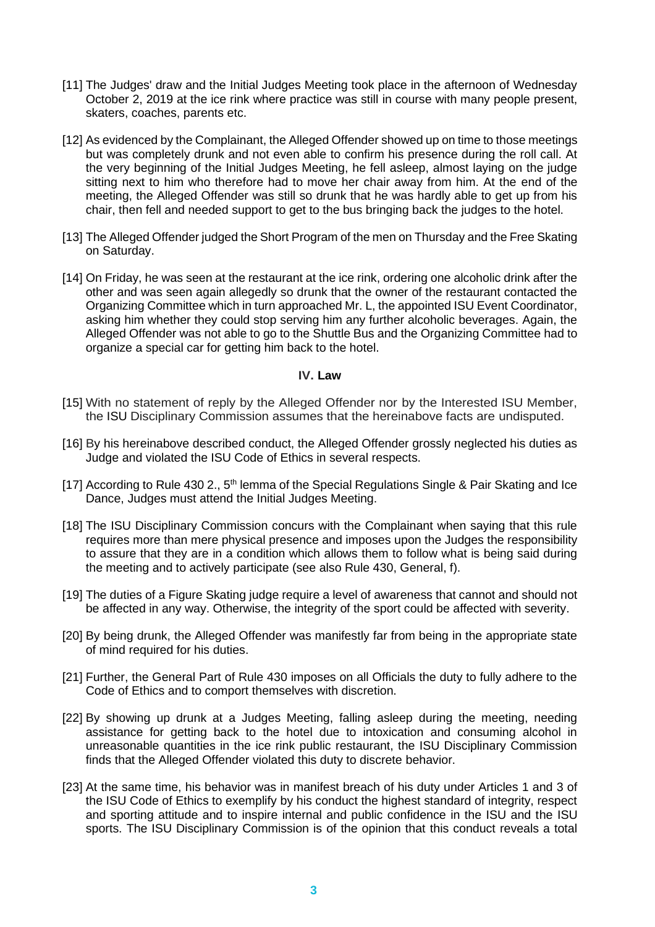- [11] The Judges' draw and the Initial Judges Meeting took place in the afternoon of Wednesday October 2, 2019 at the ice rink where practice was still in course with many people present, skaters, coaches, parents etc.
- [12] As evidenced by the Complainant, the Alleged Offender showed up on time to those meetings but was completely drunk and not even able to confirm his presence during the roll call. At the very beginning of the Initial Judges Meeting, he fell asleep, almost laying on the judge sitting next to him who therefore had to move her chair away from him. At the end of the meeting, the Alleged Offender was still so drunk that he was hardly able to get up from his chair, then fell and needed support to get to the bus bringing back the judges to the hotel.
- [13] The Alleged Offender judged the Short Program of the men on Thursday and the Free Skating on Saturday.
- [14] On Friday, he was seen at the restaurant at the ice rink, ordering one alcoholic drink after the other and was seen again allegedly so drunk that the owner of the restaurant contacted the Organizing Committee which in turn approached Mr. L, the appointed ISU Event Coordinator, asking him whether they could stop serving him any further alcoholic beverages. Again, the Alleged Offender was not able to go to the Shuttle Bus and the Organizing Committee had to organize a special car for getting him back to the hotel.

## **IV. Law**

- [15] With no statement of reply by the Alleged Offender nor by the Interested ISU Member, the ISU Disciplinary Commission assumes that the hereinabove facts are undisputed.
- [16] By his hereinabove described conduct, the Alleged Offender grossly neglected his duties as Judge and violated the ISU Code of Ethics in several respects.
- [17] According to Rule 430 2., 5<sup>th</sup> lemma of the Special Regulations Single & Pair Skating and Ice Dance, Judges must attend the Initial Judges Meeting.
- [18] The ISU Disciplinary Commission concurs with the Complainant when saying that this rule requires more than mere physical presence and imposes upon the Judges the responsibility to assure that they are in a condition which allows them to follow what is being said during the meeting and to actively participate (see also Rule 430, General, f).
- [19] The duties of a Figure Skating judge require a level of awareness that cannot and should not be affected in any way. Otherwise, the integrity of the sport could be affected with severity.
- [20] By being drunk, the Alleged Offender was manifestly far from being in the appropriate state of mind required for his duties.
- [21] Further, the General Part of Rule 430 imposes on all Officials the duty to fully adhere to the Code of Ethics and to comport themselves with discretion.
- [22] By showing up drunk at a Judges Meeting, falling asleep during the meeting, needing assistance for getting back to the hotel due to intoxication and consuming alcohol in unreasonable quantities in the ice rink public restaurant, the ISU Disciplinary Commission finds that the Alleged Offender violated this duty to discrete behavior.
- [23] At the same time, his behavior was in manifest breach of his duty under Articles 1 and 3 of the ISU Code of Ethics to exemplify by his conduct the highest standard of integrity, respect and sporting attitude and to inspire internal and public confidence in the ISU and the ISU sports. The ISU Disciplinary Commission is of the opinion that this conduct reveals a total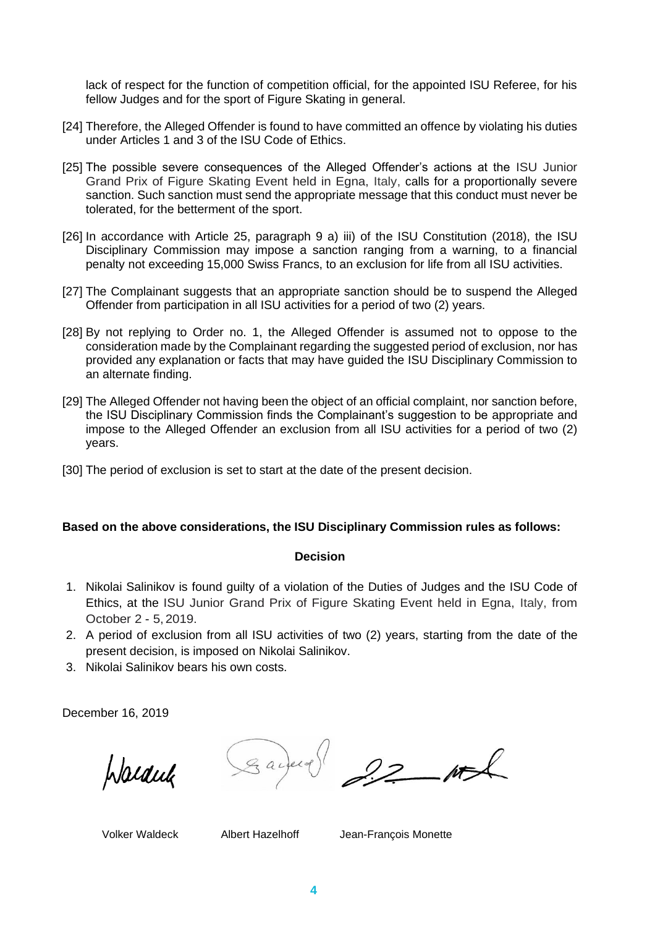lack of respect for the function of competition official, for the appointed ISU Referee, for his fellow Judges and for the sport of Figure Skating in general.

- [24] Therefore, the Alleged Offender is found to have committed an offence by violating his duties under Articles 1 and 3 of the ISU Code of Ethics.
- [25] The possible severe consequences of the Alleged Offender's actions at the ISU Junior Grand Prix of Figure Skating Event held in Egna, Italy, calls for a proportionally severe sanction. Such sanction must send the appropriate message that this conduct must never be tolerated, for the betterment of the sport.
- [26] In accordance with Article 25, paragraph 9 a) iii) of the ISU Constitution (2018), the ISU Disciplinary Commission may impose a sanction ranging from a warning, to a financial penalty not exceeding 15,000 Swiss Francs, to an exclusion for life from all ISU activities.
- [27] The Complainant suggests that an appropriate sanction should be to suspend the Alleged Offender from participation in all ISU activities for a period of two (2) years.
- [28] By not replying to Order no. 1, the Alleged Offender is assumed not to oppose to the consideration made by the Complainant regarding the suggested period of exclusion, nor has provided any explanation or facts that may have guided the ISU Disciplinary Commission to an alternate finding.
- [29] The Alleged Offender not having been the object of an official complaint, nor sanction before, the ISU Disciplinary Commission finds the Complainant's suggestion to be appropriate and impose to the Alleged Offender an exclusion from all ISU activities for a period of two (2) years.
- [30] The period of exclusion is set to start at the date of the present decision.

## **Based on the above considerations, the ISU Disciplinary Commission rules as follows:**

## **Decision**

- 1. Nikolai Salinikov is found guilty of a violation of the Duties of Judges and the ISU Code of Ethics, at the ISU Junior Grand Prix of Figure Skating Event held in Egna, Italy, from October 2 - 5, 2019.
- 2. A period of exclusion from all ISU activities of two (2) years, starting from the date of the present decision, is imposed on Nikolai Salinikov.
- 3. Nikolai Salinikov bears his own costs.

December 16, 2019

Warduk

Gavery 92

Volker Waldeck Albert Hazelhoff Jean-François Monette